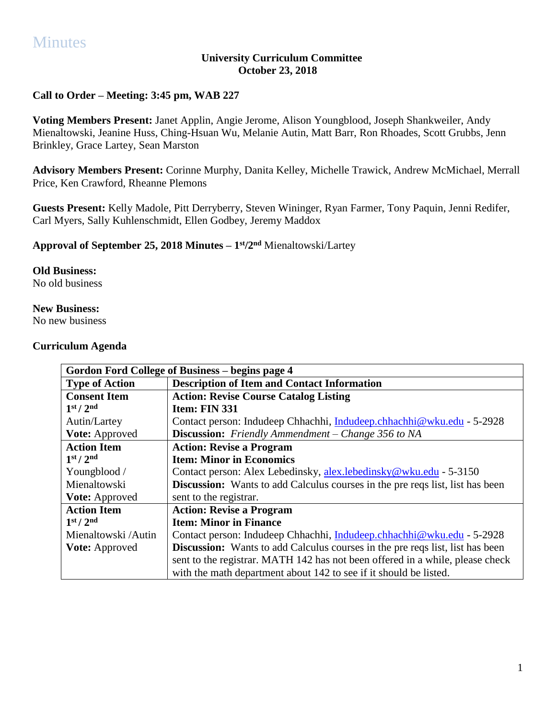# **Minutes**

#### **University Curriculum Committee October 23, 2018**

## **Call to Order – Meeting: 3:45 pm, WAB 227**

**Voting Members Present:** Janet Applin, Angie Jerome, Alison Youngblood, Joseph Shankweiler, Andy Mienaltowski, Jeanine Huss, Ching-Hsuan Wu, Melanie Autin, Matt Barr, Ron Rhoades, Scott Grubbs, Jenn Brinkley, Grace Lartey, Sean Marston

**Advisory Members Present:** Corinne Murphy, Danita Kelley, Michelle Trawick, Andrew McMichael, Merrall Price, Ken Crawford, Rheanne Plemons

**Guests Present:** Kelly Madole, Pitt Derryberry, Steven Wininger, Ryan Farmer, Tony Paquin, Jenni Redifer, Carl Myers, Sally Kuhlenschmidt, Ellen Godbey, Jeremy Maddox

**Approval of September 25, 2018 Minutes – 1 st/2nd** Mienaltowski/Lartey

### **Old Business:**

No old business

#### **New Business:**

No new business

#### **Curriculum Agenda**

| Gordon Ford College of Business – begins page 4 |                                                                                      |
|-------------------------------------------------|--------------------------------------------------------------------------------------|
| <b>Type of Action</b>                           | <b>Description of Item and Contact Information</b>                                   |
| <b>Consent Item</b>                             | <b>Action: Revise Course Catalog Listing</b>                                         |
| 1 <sup>st</sup> / 2 <sup>nd</sup>               | Item: FIN 331                                                                        |
| Autin/Lartey                                    | Contact person: Indudeep Chhachhi, Indudeep.chhachhi@wku.edu - 5-2928                |
| Vote: Approved                                  | <b>Discussion:</b> Friendly Ammendment – Change 356 to NA                            |
| <b>Action Item</b>                              | <b>Action: Revise a Program</b>                                                      |
| 1 <sup>st</sup> / 2 <sup>nd</sup>               | <b>Item: Minor in Economics</b>                                                      |
| Youngblood /                                    | Contact person: Alex Lebedinsky, alex.lebedinsky@wku.edu - 5-3150                    |
| Mienaltowski                                    | <b>Discussion:</b> Wants to add Calculus courses in the pre reqs list, list has been |
| <b>Vote:</b> Approved                           | sent to the registrar.                                                               |
| <b>Action Item</b>                              | <b>Action: Revise a Program</b>                                                      |
| 1 <sup>st</sup> / 2 <sup>nd</sup>               | <b>Item: Minor in Finance</b>                                                        |
| Mienaltowski/Autin                              | Contact person: Indudeep Chhachhi, Indudeep.chhachhi@wku.edu - 5-2928                |
| <b>Vote:</b> Approved                           | <b>Discussion:</b> Wants to add Calculus courses in the pre reqs list, list has been |
|                                                 | sent to the registrar. MATH 142 has not been offered in a while, please check        |
|                                                 | with the math department about 142 to see if it should be listed.                    |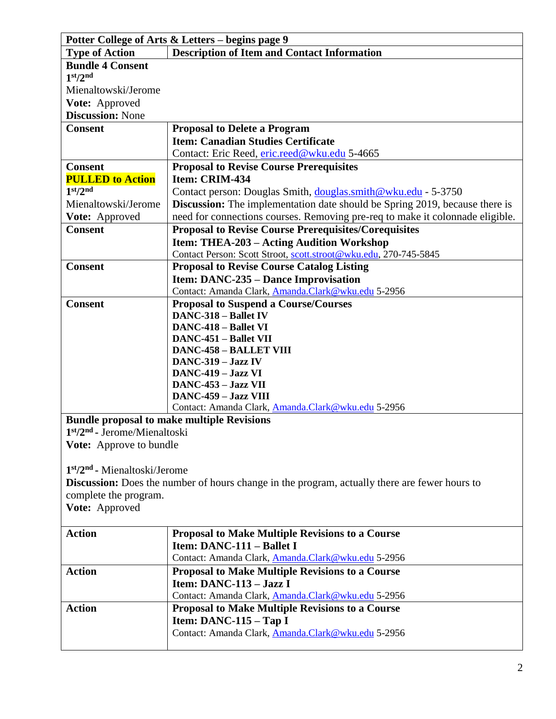| Potter College of Arts & Letters – begins page 9 |                                                                                                      |
|--------------------------------------------------|------------------------------------------------------------------------------------------------------|
| <b>Type of Action</b>                            | <b>Description of Item and Contact Information</b>                                                   |
| <b>Bundle 4 Consent</b>                          |                                                                                                      |
| 1 <sup>st</sup> /2 <sup>nd</sup>                 |                                                                                                      |
| Mienaltowski/Jerome                              |                                                                                                      |
| Vote: Approved                                   |                                                                                                      |
| <b>Discussion: None</b>                          |                                                                                                      |
| <b>Consent</b>                                   | <b>Proposal to Delete a Program</b>                                                                  |
|                                                  | <b>Item: Canadian Studies Certificate</b>                                                            |
|                                                  | Contact: Eric Reed, eric.reed@wku.edu 5-4665                                                         |
| <b>Consent</b>                                   | <b>Proposal to Revise Course Prerequisites</b>                                                       |
| <b>PULLED to Action</b>                          | Item: CRIM-434                                                                                       |
| 1 <sup>st</sup> /2 <sup>nd</sup>                 | Contact person: Douglas Smith, douglas.smith@wku.edu - 5-3750                                        |
| Mienaltowski/Jerome                              | <b>Discussion:</b> The implementation date should be Spring 2019, because there is                   |
| Vote: Approved                                   | need for connections courses. Removing pre-req to make it colonnade eligible.                        |
| <b>Consent</b>                                   | <b>Proposal to Revise Course Prerequisites/Corequisites</b>                                          |
|                                                  | <b>Item: THEA-203 – Acting Audition Workshop</b>                                                     |
|                                                  | Contact Person: Scott Stroot, scott.stroot@wku.edu, 270-745-5845                                     |
| <b>Consent</b>                                   | <b>Proposal to Revise Course Catalog Listing</b>                                                     |
|                                                  | <b>Item: DANC-235 – Dance Improvisation</b>                                                          |
|                                                  | Contact: Amanda Clark, Amanda.Clark@wku.edu 5-2956                                                   |
| <b>Consent</b>                                   | <b>Proposal to Suspend a Course/Courses</b>                                                          |
|                                                  | <b>DANC-318 - Ballet IV</b>                                                                          |
|                                                  | <b>DANC-418 - Ballet VI</b>                                                                          |
|                                                  | <b>DANC-451 - Ballet VII</b>                                                                         |
|                                                  | <b>DANC-458 - BALLET VIII</b>                                                                        |
|                                                  | DANC-319 - Jazz IV                                                                                   |
|                                                  | DANC-419 - Jazz VI<br>DANC-453 - Jazz VII                                                            |
|                                                  | DANC-459 - Jazz VIII                                                                                 |
|                                                  | Contact: Amanda Clark, Amanda.Clark@wku.edu 5-2956                                                   |
|                                                  | <b>Bundle proposal to make multiple Revisions</b>                                                    |
| $1st/2nd$ - Jerome/Mienaltoski                   |                                                                                                      |
| <b>Vote:</b> Approve to bundle                   |                                                                                                      |
|                                                  |                                                                                                      |
| $1st/2nd$ - Mienaltoski/Jerome                   |                                                                                                      |
|                                                  | <b>Discussion:</b> Does the number of hours change in the program, actually there are fewer hours to |
| complete the program.                            |                                                                                                      |
| Vote: Approved                                   |                                                                                                      |
|                                                  |                                                                                                      |
| <b>Action</b>                                    | <b>Proposal to Make Multiple Revisions to a Course</b>                                               |
|                                                  | Item: DANC-111 - Ballet I                                                                            |
|                                                  | Contact: Amanda Clark, Amanda.Clark@wku.edu 5-2956                                                   |
| <b>Action</b>                                    | <b>Proposal to Make Multiple Revisions to a Course</b>                                               |
|                                                  | Item: DANC-113 - Jazz I                                                                              |
|                                                  | Contact: Amanda Clark, Amanda.Clark@wku.edu 5-2956                                                   |
| <b>Action</b>                                    | <b>Proposal to Make Multiple Revisions to a Course</b>                                               |
|                                                  | Item: $DANC-115 - Tap I$                                                                             |
|                                                  | Contact: Amanda Clark, Amanda.Clark@wku.edu 5-2956                                                   |
|                                                  |                                                                                                      |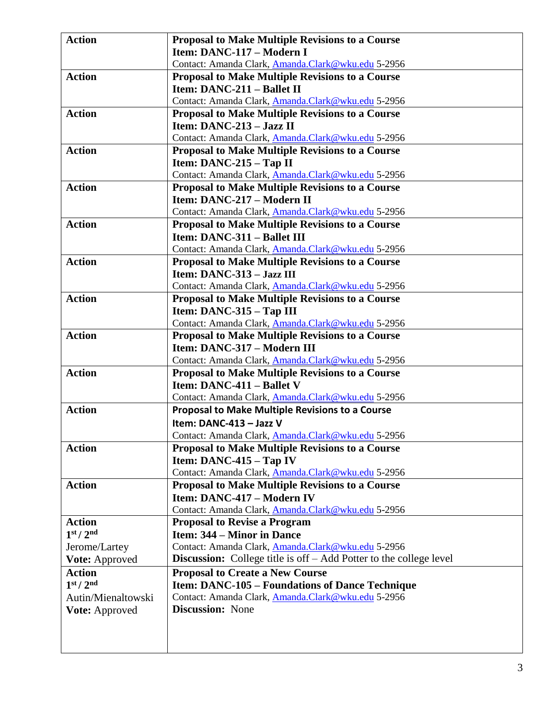| <b>Action</b>                     | <b>Proposal to Make Multiple Revisions to a Course</b>                    |
|-----------------------------------|---------------------------------------------------------------------------|
|                                   | Item: DANC-117 - Modern I                                                 |
|                                   | Contact: Amanda Clark, Amanda.Clark@wku.edu 5-2956                        |
| <b>Action</b>                     | <b>Proposal to Make Multiple Revisions to a Course</b>                    |
|                                   | Item: DANC-211 - Ballet II                                                |
|                                   | Contact: Amanda Clark, Amanda.Clark@wku.edu 5-2956                        |
| <b>Action</b>                     | <b>Proposal to Make Multiple Revisions to a Course</b>                    |
|                                   | Item: $DANC-213 - Jazz II$                                                |
|                                   | Contact: Amanda Clark, Amanda.Clark@wku.edu 5-2956                        |
| <b>Action</b>                     | <b>Proposal to Make Multiple Revisions to a Course</b>                    |
|                                   | Item: DANC-215 - Tap II                                                   |
|                                   | Contact: Amanda Clark, Amanda.Clark@wku.edu 5-2956                        |
| <b>Action</b>                     | <b>Proposal to Make Multiple Revisions to a Course</b>                    |
|                                   | Item: DANC-217 - Modern II                                                |
|                                   | Contact: Amanda Clark, Amanda.Clark@wku.edu 5-2956                        |
| <b>Action</b>                     | <b>Proposal to Make Multiple Revisions to a Course</b>                    |
|                                   | <b>Item: DANC-311 - Ballet III</b>                                        |
|                                   | Contact: Amanda Clark, Amanda.Clark@wku.edu 5-2956                        |
| <b>Action</b>                     | <b>Proposal to Make Multiple Revisions to a Course</b>                    |
|                                   | Item: DANC-313 - Jazz III                                                 |
|                                   | Contact: Amanda Clark, Amanda.Clark@wku.edu 5-2956                        |
| <b>Action</b>                     | <b>Proposal to Make Multiple Revisions to a Course</b>                    |
|                                   | Item: DANC-315 - Tap III                                                  |
|                                   | Contact: Amanda Clark, Amanda.Clark@wku.edu 5-2956                        |
| <b>Action</b>                     | <b>Proposal to Make Multiple Revisions to a Course</b>                    |
|                                   | Item: DANC-317 - Modern III                                               |
|                                   | Contact: Amanda Clark, Amanda.Clark@wku.edu 5-2956                        |
| <b>Action</b>                     | Proposal to Make Multiple Revisions to a Course                           |
|                                   | Item: DANC-411 - Ballet V                                                 |
|                                   | Contact: Amanda Clark, Amanda.Clark@wku.edu 5-2956                        |
| <b>Action</b>                     | <b>Proposal to Make Multiple Revisions to a Course</b>                    |
|                                   | Item: DANC-413 - Jazz V                                                   |
|                                   | Contact: Amanda Clark, Amanda.Clark@wku.edu 5-2956                        |
| <b>Action</b>                     | <b>Proposal to Make Multiple Revisions to a Course</b>                    |
|                                   | Item: $DANC-415 - Tap IV$                                                 |
|                                   | Contact: Amanda Clark, Amanda.Clark@wku.edu 5-2956                        |
| <b>Action</b>                     | <b>Proposal to Make Multiple Revisions to a Course</b>                    |
|                                   | Item: DANC-417 - Modern IV                                                |
|                                   | Contact: Amanda Clark, Amanda.Clark@wku.edu 5-2956                        |
| <b>Action</b>                     | <b>Proposal to Revise a Program</b>                                       |
| 1 <sup>st</sup> / 2 <sup>nd</sup> | Item: 344 – Minor in Dance                                                |
| Jerome/Lartey                     | Contact: Amanda Clark, Amanda.Clark@wku.edu 5-2956                        |
| <b>Vote: Approved</b>             | <b>Discussion:</b> College title is off – Add Potter to the college level |
| <b>Action</b>                     | <b>Proposal to Create a New Course</b>                                    |
| 1 <sup>st</sup> / 2 <sup>nd</sup> | <b>Item: DANC-105 - Foundations of Dance Technique</b>                    |
| Autin/Mienaltowski                | Contact: Amanda Clark, Amanda.Clark@wku.edu 5-2956                        |
| Vote: Approved                    | <b>Discussion:</b> None                                                   |
|                                   |                                                                           |
|                                   |                                                                           |
|                                   |                                                                           |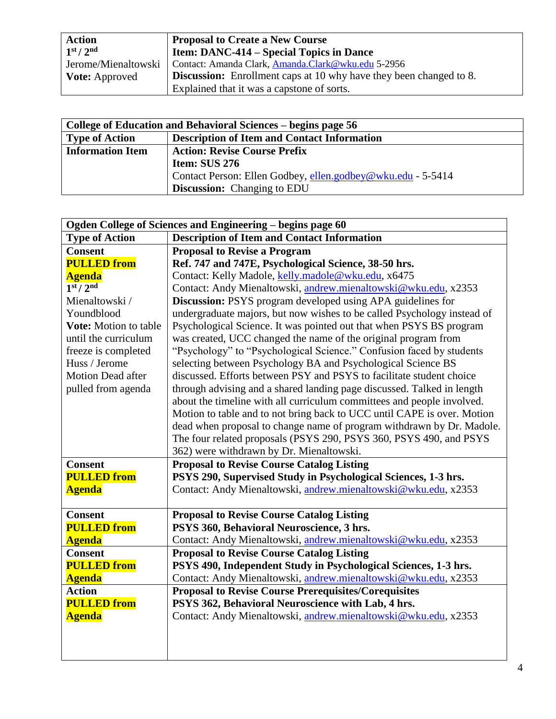| <b>Action</b>                     | <b>Proposal to Create a New Course</b>                                    |
|-----------------------------------|---------------------------------------------------------------------------|
| 1 <sup>st</sup> / 2 <sup>nd</sup> | <b>Iftem: DANC-414 – Special Topics in Dance</b>                          |
| Jerome/Mienaltowski               | Contact: Amanda Clark, Amanda.Clark@wku.edu 5-2956                        |
| <b>Vote:</b> Approved             | <b>Discussion:</b> Enrollment caps at 10 why have they been changed to 8. |
|                                   | Explained that it was a capstone of sorts.                                |

| College of Education and Behavioral Sciences – begins page 56 |                                                             |
|---------------------------------------------------------------|-------------------------------------------------------------|
| <b>Type of Action</b>                                         | <b>Description of Item and Contact Information</b>          |
| <b>Information Item</b>                                       | <b>Action: Revise Course Prefix</b>                         |
|                                                               | Item: SUS 276                                               |
|                                                               | Contact Person: Ellen Godbey, ellen.godbey@wku.edu - 5-5414 |
|                                                               | <b>Discussion:</b> Changing to EDU                          |

| Ogden College of Sciences and Engineering - begins page 60 |                                                                         |
|------------------------------------------------------------|-------------------------------------------------------------------------|
| <b>Type of Action</b>                                      | <b>Description of Item and Contact Information</b>                      |
| <b>Consent</b>                                             | <b>Proposal to Revise a Program</b>                                     |
| <b>PULLED</b> from                                         | Ref. 747 and 747E, Psychological Science, 38-50 hrs.                    |
| <b>Agenda</b>                                              | Contact: Kelly Madole, kelly.madole@wku.edu, x6475                      |
| 1 <sup>st</sup> / 2 <sup>nd</sup>                          | Contact: Andy Mienaltowski, andrew.mienaltowski@wku.edu, x2353          |
| Mienaltowski /                                             | <b>Discussion:</b> PSYS program developed using APA guidelines for      |
| Youndblood                                                 | undergraduate majors, but now wishes to be called Psychology instead of |
| <b>Vote:</b> Motion to table                               | Psychological Science. It was pointed out that when PSYS BS program     |
| until the curriculum                                       | was created, UCC changed the name of the original program from          |
| freeze is completed                                        | "Psychology" to "Psychological Science." Confusion faced by students    |
| Huss / Jerome                                              | selecting between Psychology BA and Psychological Science BS            |
| <b>Motion Dead after</b>                                   | discussed. Efforts between PSY and PSYS to facilitate student choice    |
| pulled from agenda                                         | through advising and a shared landing page discussed. Talked in length  |
|                                                            | about the timeline with all curriculum committees and people involved.  |
|                                                            | Motion to table and to not bring back to UCC until CAPE is over. Motion |
|                                                            | dead when proposal to change name of program withdrawn by Dr. Madole.   |
|                                                            | The four related proposals (PSYS 290, PSYS 360, PSYS 490, and PSYS      |
|                                                            | 362) were withdrawn by Dr. Mienaltowski.                                |
| <b>Consent</b>                                             | <b>Proposal to Revise Course Catalog Listing</b>                        |
| <b>PULLED</b> from                                         | PSYS 290, Supervised Study in Psychological Sciences, 1-3 hrs.          |
| <b>Agenda</b>                                              | Contact: Andy Mienaltowski, andrew.mienaltowski@wku.edu, x2353          |
|                                                            |                                                                         |
| <b>Consent</b>                                             | <b>Proposal to Revise Course Catalog Listing</b>                        |
| <b>PULLED</b> from                                         | PSYS 360, Behavioral Neuroscience, 3 hrs.                               |
| <b>Agenda</b>                                              | Contact: Andy Mienaltowski, andrew.mienaltowski@wku.edu, x2353          |
| <b>Consent</b>                                             | <b>Proposal to Revise Course Catalog Listing</b>                        |
| <b>PULLED</b> from                                         | PSYS 490, Independent Study in Psychological Sciences, 1-3 hrs.         |
| <b>Agenda</b>                                              | Contact: Andy Mienaltowski, andrew.mienaltowski@wku.edu, x2353          |
| <b>Action</b>                                              | <b>Proposal to Revise Course Prerequisites/Corequisites</b>             |
| <b>PULLED from</b>                                         | PSYS 362, Behavioral Neuroscience with Lab, 4 hrs.                      |
| <b>Agenda</b>                                              | Contact: Andy Mienaltowski, andrew.mienaltowski@wku.edu, x2353          |
|                                                            |                                                                         |
|                                                            |                                                                         |
|                                                            |                                                                         |